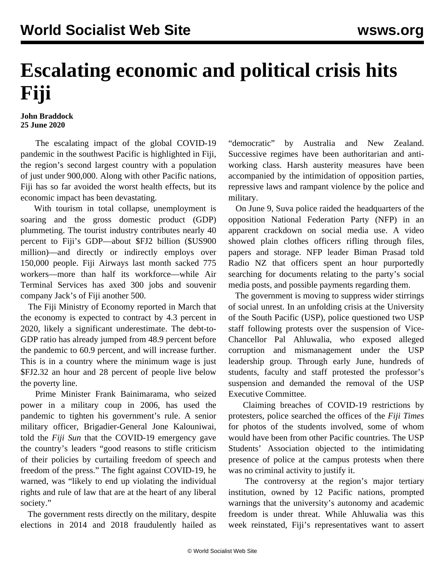## **Escalating economic and political crisis hits Fiji**

## **John Braddock 25 June 2020**

 The escalating impact of the global COVID-19 pandemic in the southwest Pacific is highlighted in Fiji, the region's second largest country with a population of just under 900,000. Along with other Pacific nations, Fiji has so far avoided the worst health effects, but its economic impact has been devastating.

 With tourism in total collapse, unemployment is soaring and the gross domestic product (GDP) plummeting. The tourist industry contributes nearly 40 percent to Fiji's GDP—about \$FJ2 billion (\$US900 million)—and directly or indirectly employs over 150,000 people. Fiji Airways last month sacked 775 workers—more than half its workforce—while Air Terminal Services has axed 300 jobs and souvenir company Jack's of Fiji another 500.

 The Fiji Ministry of Economy reported in March that the economy is expected to contract by 4.3 percent in 2020, likely a significant underestimate. The debt-to-GDP ratio has already jumped from 48.9 percent before the pandemic to 60.9 percent, and will increase further. This is in a country where the minimum wage is just \$FJ2.32 an hour and 28 percent of people live below the poverty line.

 Prime Minister Frank Bainimarama, who seized power in a military coup in 2006, has used the pandemic to tighten his government's rule. A senior military officer, Brigadier-General Jone Kalouniwai, told the *Fiji Sun* that the COVID-19 emergency gave the country's leaders "good reasons to stifle criticism of their policies by curtailing freedom of speech and freedom of the press." The fight against COVID-19, he warned, was "likely to end up violating the individual rights and rule of law that are at the heart of any liberal society."

 The government rests directly on the military, despite elections in 2014 and 2018 fraudulently hailed as

"democratic" by Australia and New Zealand. Successive regimes have been authoritarian and antiworking class. Harsh austerity measures have been accompanied by the intimidation of opposition parties, repressive laws and rampant violence by the police and military.

 On June 9, Suva police raided the headquarters of the opposition National Federation Party (NFP) in an apparent crackdown on social media use. A video showed plain clothes officers rifling through files, papers and storage. NFP leader Biman Prasad told Radio NZ that officers spent an hour purportedly searching for documents relating to the party's social media posts, and possible payments regarding them.

 The government is moving to suppress wider stirrings of social unrest. In an unfolding crisis at the University of the South Pacific (USP), police questioned two USP staff following protests over the suspension of Vice-Chancellor Pal Ahluwalia, who exposed alleged corruption and mismanagement under the USP leadership group. Through early June, hundreds of students, faculty and staff protested the professor's suspension and demanded the removal of the USP Executive Committee.

 Claiming breaches of COVID-19 restrictions by protesters, police searched the offices of the *Fiji Times* for photos of the students involved, some of whom would have been from other Pacific countries. The USP Students' Association objected to the intimidating presence of police at the campus protests when there was no criminal activity to justify it.

 The controversy at the region's major tertiary institution, owned by 12 Pacific nations, prompted warnings that the university's autonomy and academic freedom is under threat. While Ahluwalia was this week reinstated, Fiji's representatives want to assert